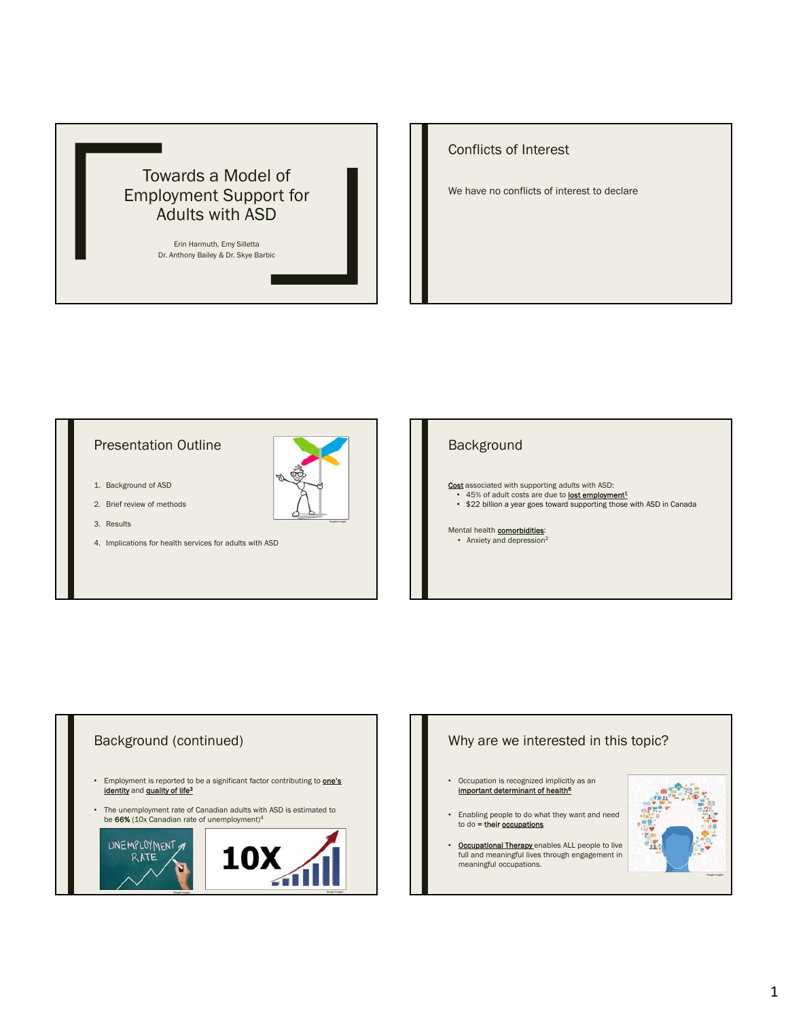

# Conflicts of Interest

We have no conflicts of interest to declare

# Presentation Outline

- 1. Background of ASD
- 2. Brief review of methods
- 3. Results
- 4. Implications for health services for adults with ASD

# Background

Cost associated with supporting adults with ASD: • 45% of adult costs are due to **lost employment**<sup>1</sup> • \$22 billion a year goes toward supporting those with ASD in Canada

Mental health **comorbidities**: • Anxiety and depression<sup>2</sup>



## Why are we interested in this topic?

- Occupation is recognized implicitly as an important determinant of health<sup>6</sup>
- Enabling people to do what they want and need to do  $=$  their occupations
- **Occupational Therapy** enables ALL people to live full and meaningful lives through engagement in meaningful occupations.

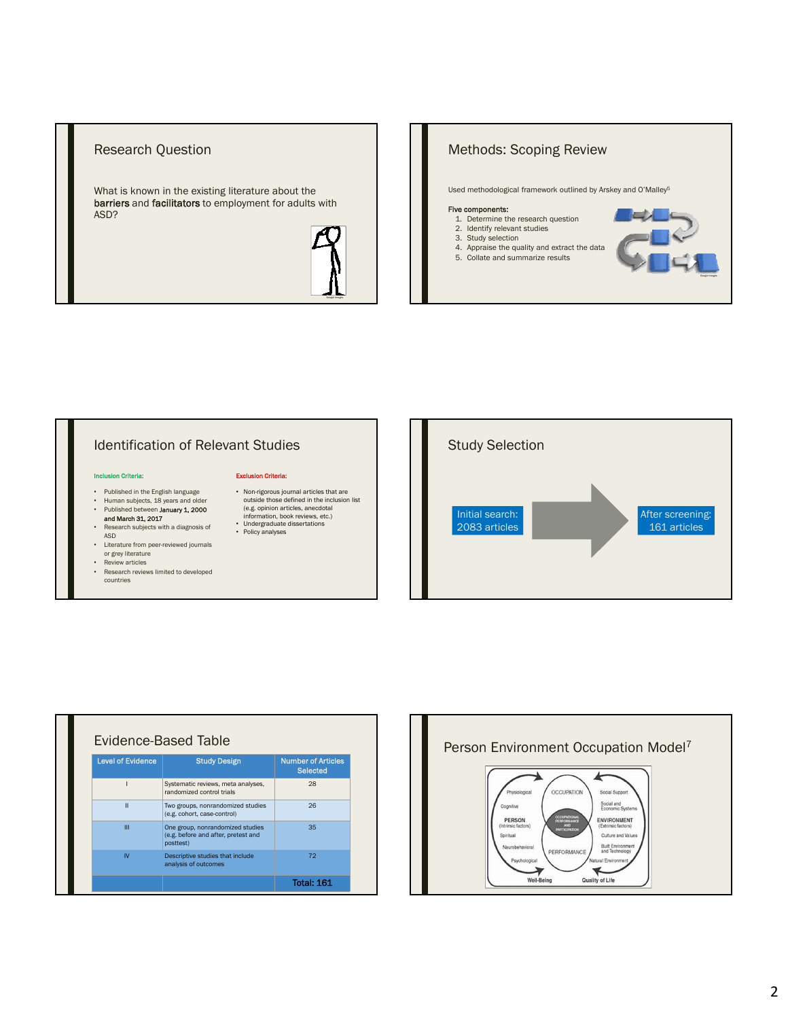### Research Question

What is known in the existing literature about the barriers and facilitators to employment for adults with ASD?



# Methods: Scoping Review Used methodological framework outlined by Arskey and O'Malley5 Five components: 1. Determine the research question 2. Identify relevant studies 3. Study selection 4. Appraise the quality and extract the data 5. Collate and summarize results

# Identification of Relevant Studies

#### ion Criteria:

- Published in the English language
- 
- Human subjects, 18 years and older<br>• Published between **January 1, 2000**<br>**and March 31, 2017** • Research subjects with a diagnosis of
- ASD • Literature from peer-reviewed journals
- or grey literature
- Review articles<br>• Research review • Research reviews limited to developed countries

#### Exclusion Criteria:

- Non-rigorous journal articles that are outside those defined in the inclusion list (e.g. opinion articles, anecdotal information, book reviews, etc.)
- Undergraduate dissertations Policy analyses
- After screening: 161 articles Initial search: 2083 articles Study Selection

| <b>Level of Evidence</b> | <b>Study Design</b>                                                                  | <b>Number of Articles</b><br><b>Selected</b> |  |  |
|--------------------------|--------------------------------------------------------------------------------------|----------------------------------------------|--|--|
|                          | Systematic reviews, meta analyses,<br>randomized control trials                      | 28                                           |  |  |
| Ш                        | Two groups, nonrandomized studies<br>(e.g. cohort, case-control)                     | 26                                           |  |  |
| Ш                        | One group, nonrandomized studies<br>(e.g. before and after, pretest and<br>posttest) | 35                                           |  |  |
| IV                       | Descriptive studies that include<br>analysis of outcomes                             | 72                                           |  |  |
|                          |                                                                                      | <b>Total: 161</b>                            |  |  |

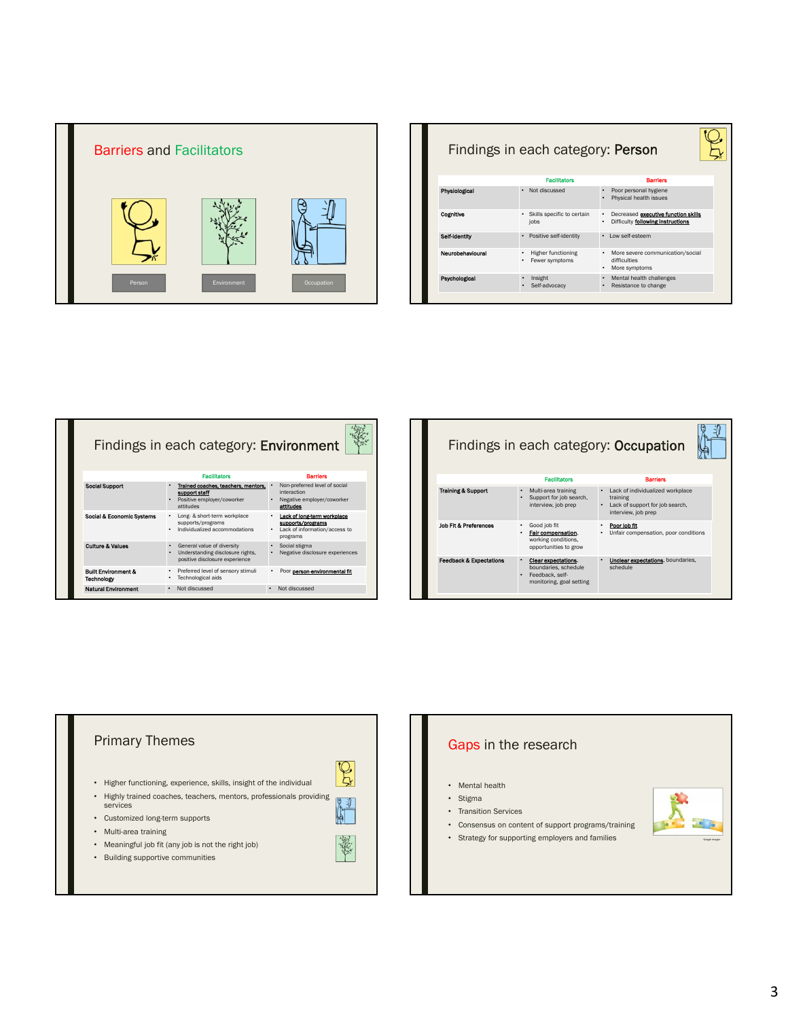

| <b>Facilitators</b><br><b>Rarriers</b><br>Physiological<br>Not discussed<br>Poor personal hygiene<br>Physical health issues<br>Cognitive<br>Skills specific to certain<br>Decreased executive function skills<br>$\bullet$<br>Difficulty following instructions<br>jobs<br>۰<br>Self-Identity<br>Positive self-identity<br>Low self-esteem<br>$\bullet$<br>$\bullet$<br>Neurobehavioural<br><b>Higher functioning</b><br>More severe communication/social<br>$\bullet$<br>difficulties<br>Fewer symptoms<br>More symptoms<br>Mental health challenges<br>Psychological<br>Insight<br>$\bullet$ | Findings in each category: Person |               |                      |  |
|------------------------------------------------------------------------------------------------------------------------------------------------------------------------------------------------------------------------------------------------------------------------------------------------------------------------------------------------------------------------------------------------------------------------------------------------------------------------------------------------------------------------------------------------------------------------------------------------|-----------------------------------|---------------|----------------------|--|
|                                                                                                                                                                                                                                                                                                                                                                                                                                                                                                                                                                                                |                                   |               |                      |  |
|                                                                                                                                                                                                                                                                                                                                                                                                                                                                                                                                                                                                |                                   |               |                      |  |
|                                                                                                                                                                                                                                                                                                                                                                                                                                                                                                                                                                                                |                                   |               |                      |  |
|                                                                                                                                                                                                                                                                                                                                                                                                                                                                                                                                                                                                |                                   |               |                      |  |
|                                                                                                                                                                                                                                                                                                                                                                                                                                                                                                                                                                                                |                                   |               |                      |  |
| $\bullet$                                                                                                                                                                                                                                                                                                                                                                                                                                                                                                                                                                                      |                                   | Self-advocacy | Resistance to change |  |